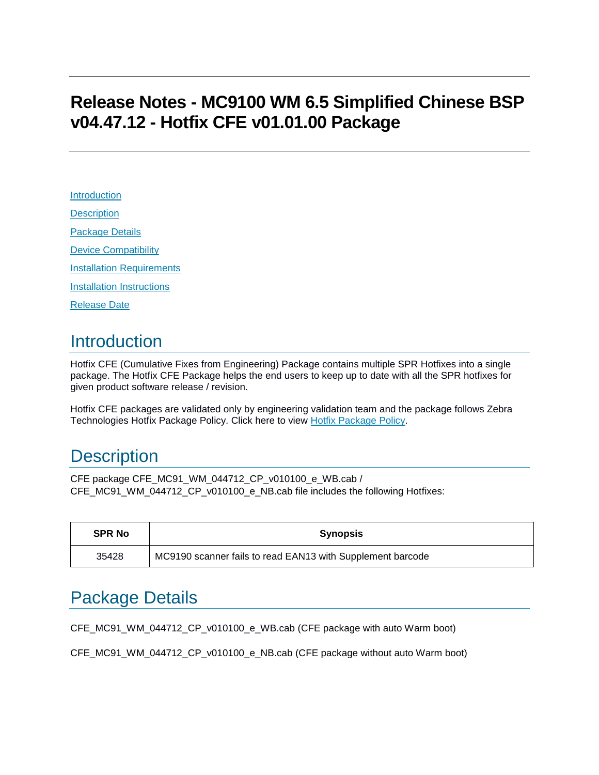## **Release Notes - MC9100 WM 6.5 Simplified Chinese BSP v04.47.12 - Hotfix CFE v01.01.00 Package**

[Introduction](#page-0-0) **[Description](#page-0-1)** [Package Details](#page-0-2) [Device Compatibility](#page-1-0) **[Installation Requirements](#page-1-1)** [Installation Instructions](#page-1-2) [Release](#page-2-0) Date

### <span id="page-0-0"></span>**Introduction**

Hotfix CFE (Cumulative Fixes from Engineering) Package contains multiple SPR Hotfixes into a single package. The Hotfix CFE Package helps the end users to keep up to date with all the SPR hotfixes for given product software release / revision.

Hotfix CFE packages are validated only by engineering validation team and the package follows Zebra Technologies Hotfix Package Policy. Click here to view [Hotfix Package Policy.](https://www.zebra.com/us/en/support-downloads/software/hotfix-support-policy.html)

## <span id="page-0-1"></span>**Description**

CFE package CFE\_MC91\_WM\_044712\_CP\_v010100\_e\_WB.cab / CFE\_MC91\_WM\_044712\_CP\_v010100\_e\_NB.cab file includes the following Hotfixes:

| <b>SPR No</b> | Synopsis                                                   |
|---------------|------------------------------------------------------------|
| 35428         | MC9190 scanner fails to read EAN13 with Supplement barcode |

## <span id="page-0-2"></span>Package Details

CFE\_MC91\_WM\_044712\_CP\_v010100\_e\_WB.cab (CFE package with auto Warm boot)

CFE\_MC91\_WM\_044712\_CP\_v010100\_e\_NB.cab (CFE package without auto Warm boot)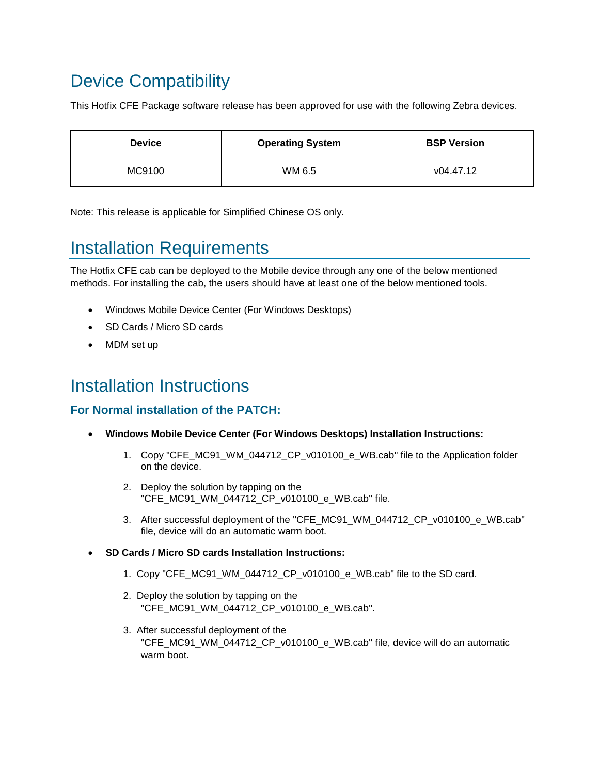# <span id="page-1-0"></span>Device Compatibility

This Hotfix CFE Package software release has been approved for use with the following Zebra devices.

| <b>Device</b> | <b>Operating System</b> | <b>BSP Version</b> |
|---------------|-------------------------|--------------------|
| MC9100        | WM 6.5                  | v04.47.12          |

Note: This release is applicable for Simplified Chinese OS only.

## <span id="page-1-1"></span>Installation Requirements

The Hotfix CFE cab can be deployed to the Mobile device through any one of the below mentioned methods. For installing the cab, the users should have at least one of the below mentioned tools.

- Windows Mobile Device Center (For Windows Desktops)
- SD Cards / Micro SD cards
- MDM set up

### <span id="page-1-2"></span>Installation Instructions

#### **For Normal installation of the PATCH:**

- **Windows Mobile Device Center (For Windows Desktops) Installation Instructions:**
	- 1. Copy "CFE\_MC91\_WM\_044712\_CP\_v010100\_e\_WB.cab" file to the Application folder on the device.
	- 2. Deploy the solution by tapping on the "CFE\_MC91\_WM\_044712\_CP\_v010100\_e\_WB.cab" file.
	- 3. After successful deployment of the "CFE\_MC91\_WM\_044712\_CP\_v010100\_e\_WB.cab" file, device will do an automatic warm boot.
- **SD Cards / Micro SD cards Installation Instructions:**
	- 1. Copy "CFE\_MC91\_WM\_044712\_CP\_v010100\_e\_WB.cab" file to the SD card.
	- 2. Deploy the solution by tapping on the "CFE\_MC91\_WM\_044712\_CP\_v010100\_e\_WB.cab".
	- 3. After successful deployment of the "CFE\_MC91\_WM\_044712\_CP\_v010100\_e\_WB.cab" file, device will do an automatic warm boot.